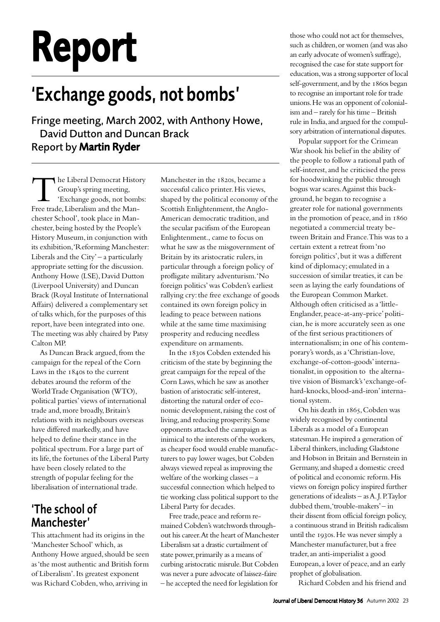# Report

# 'Exchange goods, not bombs'

Fringe meeting, March 2002, with Anthony Howe, David Dutton and Duncan Brack Report by Martin Ryder

The Liberal Democrat History<br>Group's spring meeting,<br>Exchange goods, not bombs:<br>Free trade, Liberalism and the Man-Group's spring meeting, 'Exchange goods, not bombs: chester School', took place in Manchester, being hosted by the People's History Museum, in conjunction with its exhibition, 'Reforming Manchester: Liberals and the  $City' - a$  particularly appropriate setting for the discussion. Anthony Howe (LSE), David Dutton (Liverpool University) and Duncan Brack (Royal Institute of International Affairs) delivered a complementary set of talks which, for the purposes of this report, have been integrated into one. The meeting was ably chaired by Patsy Calton MP.

As Duncan Brack argued, from the campaign for the repeal of the Corn Laws in the  $184$ os to the current debates around the reform of the World Trade Organisation (WTO), political parties' views of international trade and, more broadly, Britain's relations with its neighbours overseas have differed markedly, and have helped to define their stance in the political spectrum. For a large part of its life, the fortunes of the Liberal Party have been closely related to the strength of popular feeling for the liberalisation of international trade.

## 'The school of Manchester'

This attachment had its origins in the 'Manchester School' which, as Anthony Howe argued, should be seen as 'the most authentic and British form of Liberalism'. Its greatest exponent was Richard Cobden, who, arriving in

Manchester in the 1820s, became a successful calico printer. His views, shaped by the political economy of the Scottish Enlightenment, the Anglo-American democratic tradition, and the secular pacifism of the European Enlightenment., came to focus on what he saw as the misgovernment of Britain by its aristocratic rulers, in particular through a foreign policy of profligate military adventurism. 'No foreign politics' was Cobden's earliest rallying cry: the free exchange of goods contained its own foreign policy in leading to peace between nations while at the same time maximising prosperity and reducing needless expenditure on armaments.

In the 1830s Cobden extended his criticism of the state by beginning the great campaign for the repeal of the Corn Laws, which he saw as another bastion of aristocratic self-interest, distorting the natural order of economic development, raising the cost of living, and reducing prosperity. Some opponents attacked the campaign as inimical to the interests of the workers, as cheaper food would enable manufacturers to pay lower wages, but Cobden always viewed repeal as improving the welfare of the working classes – a successful connection which helped to tie working class political support to the Liberal Party for decades.

Free trade, peace and reform remained Cobden's watchwords throughout his career. At the heart of Manchester Liberalism sat a drastic curtailment of state power, primarily as a means of curbing aristocratic misrule. But Cobden was never a pure advocate of laissez-faire – he accepted the need for legislation for

those who could not act for themselves, such as children, or women (and was also an early advocate of women's suffrage), recognised the case for state support for education, was a strong supporter of local self-government, and by the 1860s began to recognise an important role for trade unions. He was an opponent of colonialism and – rarely for his time – British rule in India, and argued for the compulsory arbitration of international disputes.

Popular support for the Crimean War shook his belief in the ability of the people to follow a rational path of self-interest, and he criticised the press for hoodwinking the public through bogus war scares. Against this background, he began to recognise a greater role for national governments in the promotion of peace, and in negotiated a commercial treaty between Britain and France. This was to a certain extent a retreat from 'no foreign politics', but it was a different kind of diplomacy; emulated in a succession of similar treaties, it can be seen as laying the early foundations of the European Common Market. Although often criticised as a 'little-Englander, peace-at-any-price' politician, he is more accurately seen as one of the first serious practitioners of internationalism; in one of his contemporary's words, as a 'Christian-love, exchange-of-cotton-goods' internationalist, in opposition to the alternative vision of Bismarck's 'exchange-ofhard-knocks, blood-and-iron' international system.

On his death in 1865, Cobden was widely recognised by continental Liberals as a model of a European statesman. He inspired a generation of Liberal thinkers, including Gladstone and Hobson in Britain and Bernstein in Germany, and shaped a domestic creed of political and economic reform. His views on foreign policy inspired further generations of idealists – as A. J. P. Taylor dubbed them, 'trouble-makers' – in their dissent from official foreign policy, a continuous strand in British radicalism until the 1930s. He was never simply a Manchester manufacturer, but a free trader, an anti-imperialist a good European, a lover of peace, and an early prophet of globalisation.

Richard Cobden and his friend and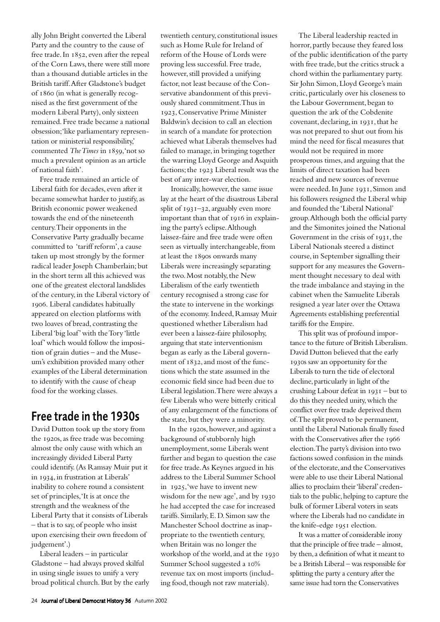ally John Bright converted the Liberal Party and the country to the cause of free trade. In 1852, even after the repeal of the Corn Laws, there were still more than a thousand dutiable articles in the British tariff. After Gladstone's budget of 1860 (in what is generally recognised as the first government of the modern Liberal Party), only sixteen remained. Free trade became a national obsession; 'like parliamentary representation or ministerial responsibility,' commented *The Times* in 1859, 'not so much a prevalent opinion as an article of national faith'.

Free trade remained an article of Liberal faith for decades, even after it became somewhat harder to justify, as British economic power weakened towards the end of the nineteenth century. Their opponents in the Conservative Party gradually became committed to 'tariff reform', a cause taken up most strongly by the former radical leader Joseph Chamberlain; but in the short term all this achieved was one of the greatest electoral landslides of the century, in the Liberal victory of . Liberal candidates habitually appeared on election platforms with two loaves of bread, contrasting the Liberal 'big loaf' with the Tory 'little loaf' which would follow the imposition of grain duties – and the Museum's exhibition provided many other examples of the Liberal determination to identify with the cause of cheap food for the working classes.

#### Free trade in the 1930s

David Dutton took up the story from the 1920s, as free trade was becoming almost the only cause with which an increasingly divided Liberal Party could identify. (As Ramsay Muir put it in 1934, in frustration at Liberals' inability to cohere round a consistent set of principles, 'It is at once the strength and the weakness of the Liberal Party that it consists of Liberals – that is to say, of people who insist upon exercising their own freedom of judgement'.)

Liberal leaders – in particular Gladstone – had always proved skilful in using single issues to unify a very broad political church. But by the early twentieth century, constitutional issues such as Home Rule for Ireland of reform of the House of Lords were proving less successful. Free trade, however, still provided a unifying factor, not least because of the Conservative abandonment of this previously shared commitment. Thus in , Conservative Prime Minister Baldwin's decision to call an election in search of a mandate for protection achieved what Liberals themselves had failed to manage, in bringing together the warring Lloyd George and Asquith factions; the 1923 Liberal result was the best of any inter-war election.

Ironically, however, the same issue lay at the heart of the disastrous Liberal split of  $1931-32$ , arguably even more important than that of 1916 in explaining the party's eclipse. Although laissez-faire and free trade were often seen as virtually interchangeable, from at least the 1890s onwards many Liberals were increasingly separating the two. Most notably, the New Liberalism of the early twentieth century recognised a strong case for the state to intervene in the workings of the economy. Indeed, Ramsay Muir questioned whether Liberalism had ever been a laissez-faire philosophy, arguing that state interventionism began as early as the Liberal government of 1832, and most of the functions which the state assumed in the economic field since had been due to Liberal legislation. There were always a few Liberals who were bitterly critical of any enlargement of the functions of the state, but they were a minority.

In the 1920s, however, and against a background of stubbornly high unemployment, some Liberals went further and began to question the case for free trade. As Keynes argued in his address to the Liberal Summer School in  $1925$ , 'we have to invent new wisdom for the new age', and by he had accepted the case for increased tariffs. Similarly, E. D. Simon saw the Manchester School doctrine as inappropriate to the twentieth century, when Britain was no longer the workshop of the world, and at the Summer School suggested a 10% revenue tax on most imports (including food, though not raw materials).

The Liberal leadership reacted in horror, partly because they feared loss of the public identification of the party with free trade, but the critics struck a chord within the parliamentary party. Sir John Simon, Lloyd George's main critic, particularly over his closeness to the Labour Government, began to question the ark of the Cobdenite covenant, declaring, in  $1931$ , that he was not prepared to shut out from his mind the need for fiscal measures that would not be required in more prosperous times, and arguing that the limits of direct taxation had been reached and new sources of revenue were needed. In June 1931, Simon and his followers resigned the Liberal whip and founded the 'Liberal National' group. Although both the official party and the Simonites joined the National Government in the crisis of  $1931$ , the Liberal Nationals steered a distinct course, in September signalling their support for any measures the Government thought necessary to deal with the trade imbalance and staying in the cabinet when the Samuelite Liberals resigned a year later over the Ottawa Agreements establishing preferential tariffs for the Empire.

This split was of profound importance to the future of British Liberalism. David Dutton believed that the early 1930s saw an opportunity for the Liberals to turn the tide of electoral decline, particularly in light of the crushing Labour defeat in  $1931 -$  but to do this they needed unity, which the conflict over free trade deprived them of. The split proved to be permanent, until the Liberal Nationals finally fused with the Conservatives after the 1966 election. The party's division into two factions sowed confusion in the minds of the electorate, and the Conservatives were able to use their Liberal National allies to proclaim their 'liberal' credentials to the public, helping to capture the bulk of former Liberal voters in seats where the Liberals had no candidate in the knife-edge 1951 election.

It was a matter of considerable irony that the principle of free trade – almost, by then, a definition of what it meant to be a British Liberal – was responsible for splitting the party a century after the same issue had torn the Conservatives